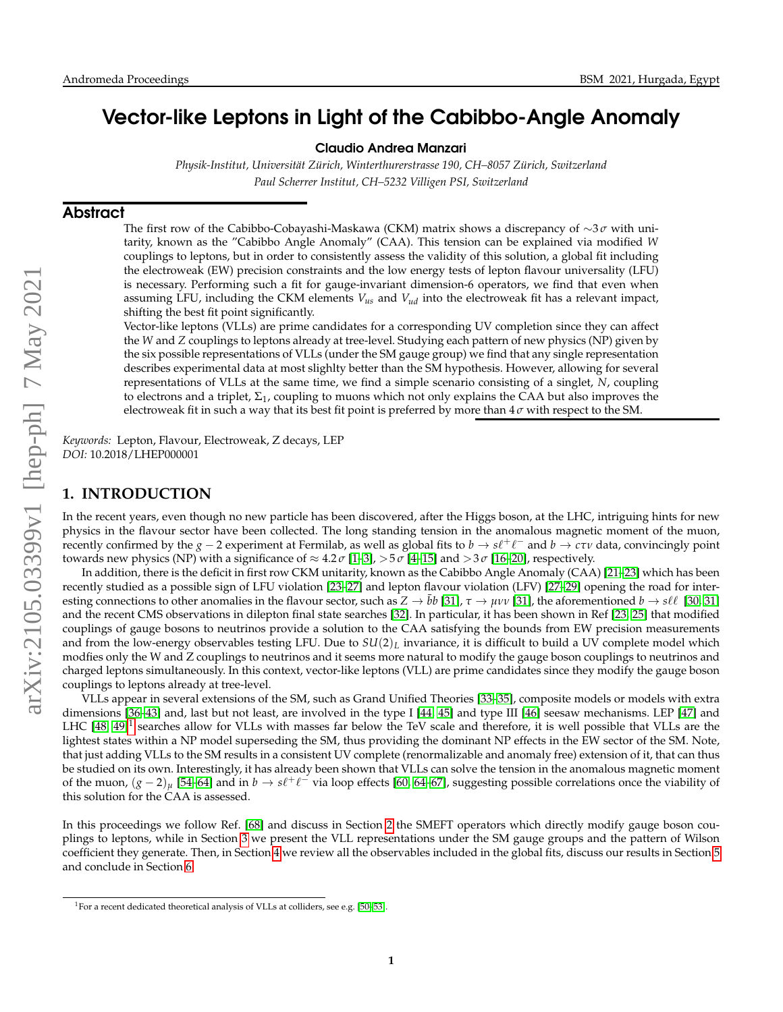# Vector-like Leptons in Light of the Cabibbo-Angle Anomaly

Claudio Andrea Manzari

*Physik-Institut, Universit¨at Z ¨urich, Winterthurerstrasse 190, CH–8057 Z ¨urich, Switzerland Paul Scherrer Institut, CH–5232 Villigen PSI, Switzerland*

#### Abstract

The first row of the Cabibbo-Cobayashi-Maskawa (CKM) matrix shows a discrepancy of ∼3 *σ* with unitarity, known as the "Cabibbo Angle Anomaly" (CAA). This tension can be explained via modified *W* couplings to leptons, but in order to consistently assess the validity of this solution, a global fit including the electroweak (EW) precision constraints and the low energy tests of lepton flavour universality (LFU) is necessary. Performing such a fit for gauge-invariant dimension-6 operators, we find that even when assuming LFU, including the CKM elements *Vus* and *Vud* into the electroweak fit has a relevant impact, shifting the best fit point significantly.

Vector-like leptons (VLLs) are prime candidates for a corresponding UV completion since they can affect the *W* and *Z* couplings to leptons already at tree-level. Studying each pattern of new physics (NP) given by the six possible representations of VLLs (under the SM gauge group) we find that any single representation describes experimental data at most slighlty better than the SM hypothesis. However, allowing for several representations of VLLs at the same time, we find a simple scenario consisting of a singlet, *N*, coupling to electrons and a triplet,  $\Sigma_1$ , coupling to muons which not only explains the CAA but also improves the electroweak fit in such a way that its best fit point is preferred by more than 4 *σ* with respect to the SM.

*Keywords:* Lepton, Flavour, Electroweak, Z decays, LEP *DOI:* 10.2018/LHEP000001

# **1. INTRODUCTION**

In the recent years, even though no new particle has been discovered, after the Higgs boson, at the LHC, intriguing hints for new physics in the flavour sector have been collected. The long standing tension in the anomalous magnetic moment of the muon, Frecently confirmed by the *g* − 2 experiment at Fermilab, as well as global fits to *b* → *s*ℓ<sup>+</sup>ℓ<sup>-</sup> and *b* → *cτν* data, convincingly point towards new physics (NP) with a significance of  $\approx 4.2 \sigma$  [\[1](#page-4-0)[–3\]](#page-4-1),  $>5 \sigma$  [\[4](#page-4-2)[–15\]](#page-4-3) and  $>3 \sigma$  [\[16](#page-5-0)[–20\]](#page-5-1), respectively.

In addition, there is the deficit in first row CKM unitarity, known as the Cabibbo Angle Anomaly (CAA) [\[21–](#page-5-2)[23\]](#page-5-3) which has been recently studied as a possible sign of LFU violation [\[23](#page-5-3)[–27\]](#page-5-4) and lepton flavour violation (LFV) [\[27–](#page-5-4)[29\]](#page-5-5) opening the road for interesting connections to other anomalies in the flavour sector, such as  $Z \to bb$  [\[31\]](#page-5-6),  $\tau \to \mu \nu \nu$  [31], the aforementioned  $b \to s \ell \ell$  [\[30,](#page-5-7) [31\]](#page-5-6) and the recent CMS observations in dilepton final state searches [\[32\]](#page-5-8). In particular, it has been shown in Ref [\[23,](#page-5-3) [25\]](#page-5-9) that modified couplings of gauge bosons to neutrinos provide a solution to the CAA satisfying the bounds from EW precision measurements and from the low-energy observables testing LFU. Due to *SU*(2)*<sup>L</sup>* invariance, it is difficult to build a UV complete model which modfies only the W and Z couplings to neutrinos and it seems more natural to modify the gauge boson couplings to neutrinos and charged leptons simultaneously. In this context, vector-like leptons (VLL) are prime candidates since they modify the gauge boson couplings to leptons already at tree-level.

VLLs appear in several extensions of the SM, such as Grand Unified Theories [\[33](#page-5-10)[–35\]](#page-5-11), composite models or models with extra dimensions [\[36–](#page-5-12)[43\]](#page-5-13) and, last but not least, are involved in the type I [\[44,](#page-5-14) [45\]](#page-5-15) and type III [\[46\]](#page-5-16) seesaw mechanisms. LEP [\[47\]](#page-5-17) and LHC  $[48, 49]^1$  $[48, 49]^1$  $[48, 49]^1$  $[48, 49]^1$  searches allow for VLLs with masses far below the TeV scale and therefore, it is well possible that VLLs are the lightest states within a NP model superseding the SM, thus providing the dominant NP effects in the EW sector of the SM. Note, that just adding VLLs to the SM results in a consistent UV complete (renormalizable and anomaly free) extension of it, that can thus be studied on its own. Interestingly, it has already been shown that VLLs can solve the tension in the anomalous magnetic moment of the muon,  $(g-2)_\mu$  [\[54–](#page-6-0)[64\]](#page-6-1) and in  $b\to s\ell^+\ell^-$  via loop effects [\[60,](#page-6-2) [64](#page-6-1)[–67\]](#page-6-3), suggesting possible correlations once the viability of this solution for the CAA is assessed.

In this proceedings we follow Ref. [\[68\]](#page-6-4) and discuss in Section [2](#page-1-0) the SMEFT operators which directly modify gauge boson couplings to leptons, while in Section [3](#page-1-1) we present the VLL representations under the SM gauge groups and the pattern of Wilson coefficient they generate. Then, in Section [4](#page-2-0) we review all the observables included in the global fits, discuss our results in Section [5](#page-3-0) and conclude in Section [6.](#page-4-4)

<span id="page-0-0"></span><sup>&</sup>lt;sup>1</sup>For a recent dedicated theoretical analysis of VLLs at colliders, see e.g. [\[50](#page-5-20)-53].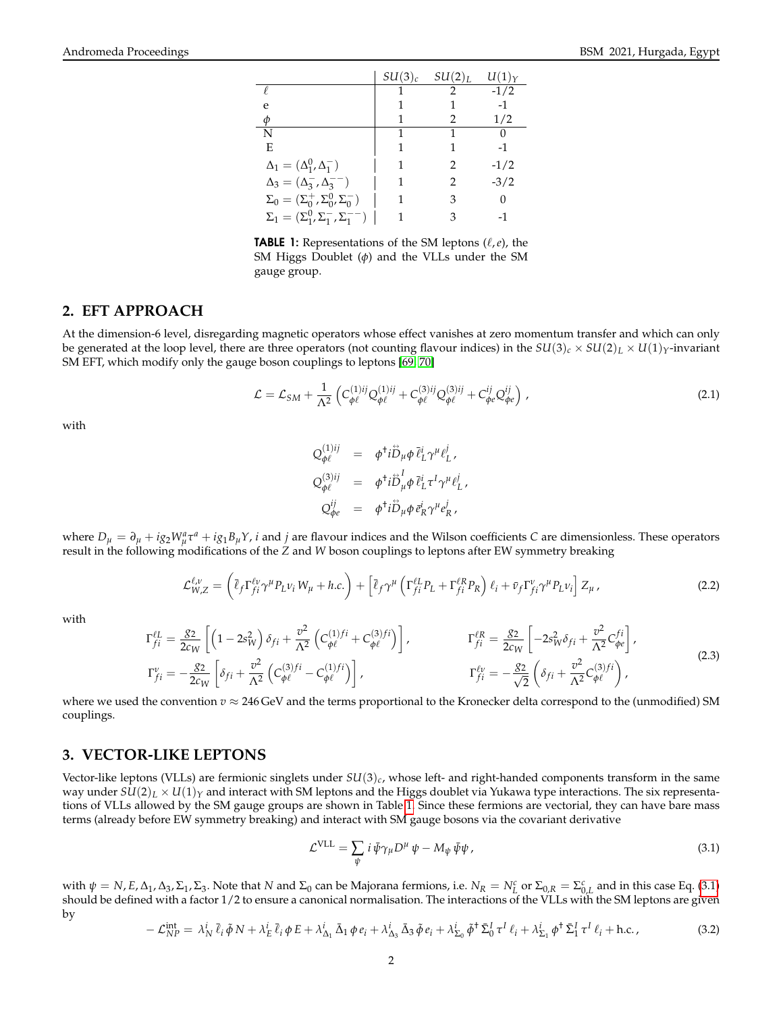|                                                      | $SU(3)_c$ | $SU(2)_L$      | $U(1)_Y$ |
|------------------------------------------------------|-----------|----------------|----------|
| P                                                    |           | $\mathfrak{D}$ | $-1/2$   |
| e                                                    |           |                | -1       |
| Ф                                                    |           | 2              | 1/2      |
| N                                                    |           |                |          |
| E                                                    |           |                | -1       |
| $\Delta_1 = (\Delta_1^0, \Delta_1^-)$                | 1         | 2              | $-1/2$   |
| $\Delta_3 = (\Delta_3^- , \Delta_3^{--})$            | 1         | 2              | $-3/2$   |
| $\Sigma_0 = (\Sigma_0^+, \Sigma_0^0, \Sigma_0^-)$    | 1         | 3              |          |
| $\Sigma_1 = (\Sigma_1^0, \Sigma_1^-, \Sigma_1^{--})$ |           | 3              |          |

<span id="page-1-2"></span>**TABLE 1:** Representations of the SM leptons  $(\ell, e)$ , the SM Higgs Doublet (*φ*) and the VLLs under the SM gauge group.

# <span id="page-1-0"></span>**2. EFT APPROACH**

At the dimension-6 level, disregarding magnetic operators whose effect vanishes at zero momentum transfer and which can only be generated at the loop level, there are three operators (not counting flavour indices) in the  $SU(3)_c \times SU(2)_L \times U(1)_Y$ -invariant SM EFT, which modify only the gauge boson couplings to leptons [\[69,](#page-6-5) [70\]](#page-6-6)

<span id="page-1-4"></span>
$$
\mathcal{L} = \mathcal{L}_{SM} + \frac{1}{\Lambda^2} \left( C_{\phi\ell}^{(1)ij} Q_{\phi\ell}^{(1)ij} + C_{\phi\ell}^{(3)ij} Q_{\phi\ell}^{(3)ij} + C_{\phi e}^{ij} Q_{\phi e}^{ij} \right) , \qquad (2.1)
$$

with

$$
Q_{\phi\ell}^{(1)ij} = \phi^{\dagger} i \ddot{D}_{\mu} \phi \, \vec{\ell}_{L}^{i} \gamma^{\mu} \ell_{L}^{j},
$$
  
\n
$$
Q_{\phi\ell}^{(3)ij} = \phi^{\dagger} i \ddot{D}_{\mu}^{I} \phi \, \vec{\ell}_{L}^{i} \tau^{I} \gamma^{\mu} \ell_{L}^{j},
$$
  
\n
$$
Q_{\phi e}^{ij} = \phi^{\dagger} i \ddot{D}_{\mu} \phi \, \vec{\ell}_{R}^{i} \gamma^{\mu} \ell_{R}^{j},
$$

where  $D_{\mu} = \partial_{\mu} + ig_2 W_{\mu}^a \tau^a + ig_1 B_{\mu} Y$ , *i* and *j* are flavour indices and the Wilson coefficients *C* are dimensionless. These operators result in the following modifications of the *Z* and *W* boson couplings to leptons after EW symmetry breaking

$$
\mathcal{L}_{W,Z}^{\ell,\nu} = \left(\bar{\ell}_f \Gamma_{fi}^{\ell\nu} \gamma^\mu P_L \nu_i W_\mu + h.c.\right) + \left[\bar{\ell}_f \gamma^\mu \left(\Gamma_{fi}^{\ell L} P_L + \Gamma_{fi}^{\ell R} P_R\right) \ell_i + \bar{\nu}_f \Gamma_{fi}^{\nu} \gamma^\mu P_L \nu_i\right] Z_\mu \,,\tag{2.2}
$$

with

<span id="page-1-5"></span>
$$
\Gamma_{fi}^{\ell L} = \frac{g_2}{2c_W} \left[ \left( 1 - 2s_W^2 \right) \delta_{fi} + \frac{v^2}{\Lambda^2} \left( C_{\phi\ell}^{(1)fi} + C_{\phi\ell}^{(3)fi} \right) \right], \qquad \qquad \Gamma_{fi}^{\ell R} = \frac{g_2}{2c_W} \left[ -2s_W^2 \delta_{fi} + \frac{v^2}{\Lambda^2} C_{\phi\ell}^{fi} \right],
$$
\n
$$
\Gamma_{fi}^{\nu} = -\frac{g_2}{2c_W} \left[ \delta_{fi} + \frac{v^2}{\Lambda^2} \left( C_{\phi\ell}^{(3)fi} - C_{\phi\ell}^{(1)fi} \right) \right], \qquad \qquad \Gamma_{fi}^{\ell \nu} = -\frac{g_2}{\sqrt{2}} \left( \delta_{fi} + \frac{v^2}{\Lambda^2} C_{\phi\ell}^{(3)fi} \right), \qquad (2.3)
$$

where we used the convention  $v \approx 246$  GeV and the terms proportional to the Kronecker delta correspond to the (unmodified) SM couplings.

### <span id="page-1-1"></span>**3. VECTOR-LIKE LEPTONS**

Vector-like leptons (VLLs) are fermionic singlets under *SU*(3)*c*, whose left- and right-handed components transform in the same way under  $SU(2)_L \times U(1)_Y$  and interact with SM leptons and the Higgs doublet via Yukawa type interactions. The six representations of VLLs allowed by the SM gauge groups are shown in Table [1.](#page-1-2) Since these fermions are vectorial, they can have bare mass terms (already before EW symmetry breaking) and interact with SM gauge bosons via the covariant derivative

<span id="page-1-3"></span>
$$
\mathcal{L}^{\text{VLL}} = \sum_{\psi} i \,\bar{\psi} \gamma_{\mu} D^{\mu} \,\psi - M_{\psi} \,\bar{\psi} \psi \,, \tag{3.1}
$$

with  $\psi = N$ , *E*, Δ<sub>1</sub>, Δ<sub>3</sub>, Σ<sub>1</sub>, Σ<sub>3</sub>. Note that *N* and Σ<sub>0</sub> can be Majorana fermions, i.e.  $N_R = N_L^c$  or  $\Sigma_{0,R} = \Sigma_{0,L}^c$  and in this case Eq. [\(3.1\)](#page-1-3) should be defined with a factor 1/2 to ensure a canonical normalisation. The interactions of the VLLs with the SM leptons are given by

$$
-\mathcal{L}_{NP}^{\text{int}} = \lambda_N^i \,\bar{\ell}_i \,\tilde{\phi} \, N + \lambda_E^i \,\bar{\ell}_i \,\phi \, E + \lambda_{\Delta_1}^i \,\bar{\Delta}_1 \,\phi \, e_i + \lambda_{\Delta_3}^i \,\bar{\Delta}_3 \,\tilde{\phi} \, e_i + \lambda_{\Sigma_0}^i \,\tilde{\phi}^\dagger \,\Sigma_0^I \,\tau^I \, \ell_i + \lambda_{\Sigma_1}^i \,\phi^\dagger \,\Sigma_1^I \,\tau^I \, \ell_i + \text{h.c.} \,,\tag{3.2}
$$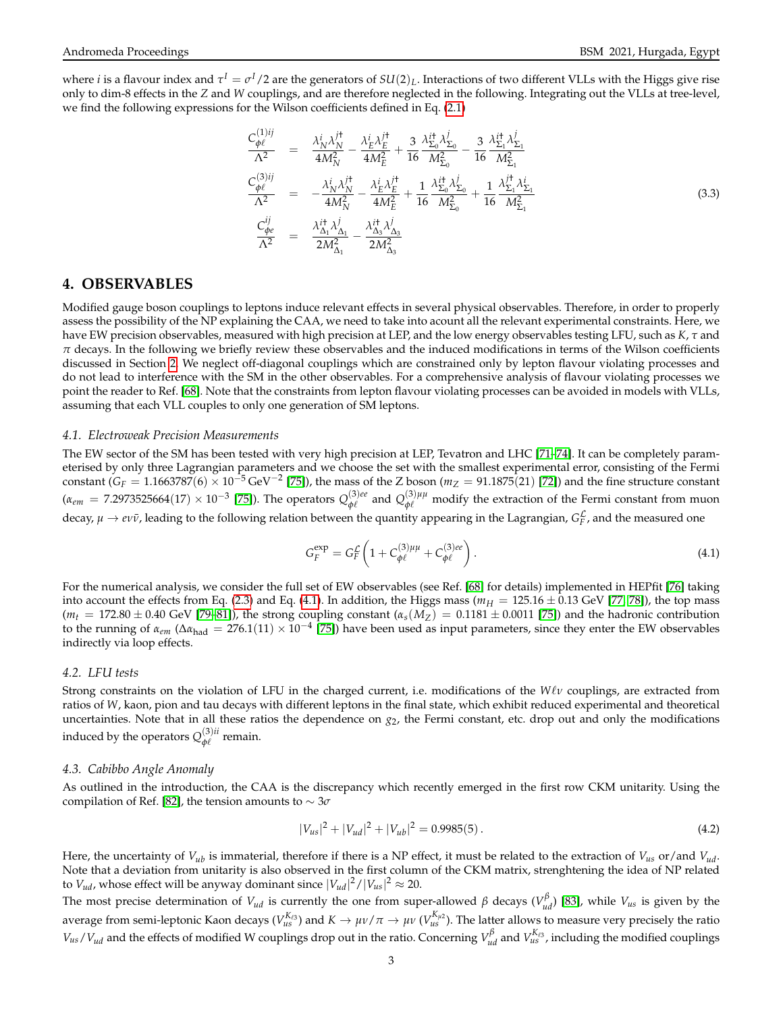where *i* is a flavour index and  $\tau^I=\sigma^I/2$  are the generators of  $SU(2)_L$ . Interactions of two different VLLs with the Higgs give rise only to dim-8 effects in the *Z* and *W* couplings, and are therefore neglected in the following. Integrating out the VLLs at tree-level, we find the following expressions for the Wilson coefficients defined in Eq. [\(2.1\)](#page-1-4)

<span id="page-2-2"></span>
$$
\frac{C_{\phi\ell}^{(1)ij}}{\Lambda^2} = \frac{\lambda_N^i \lambda_N^{j\dagger}}{4M_N^2} - \frac{\lambda_E^i \lambda_E^{j\dagger}}{4M_E^2} + \frac{3}{16} \frac{\lambda_{\Sigma_0}^{i\dagger} \lambda_{\Sigma_0}^j}{M_{\Sigma_0}^2} - \frac{3}{16} \frac{\lambda_{\Sigma_1}^{i\dagger} \lambda_{\Sigma_1}^j}{M_{\Sigma_1}^2}
$$
\n
$$
\frac{C_{\phi\ell}^{(3)ij}}{\Lambda^2} = -\frac{\lambda_N^i \lambda_N^{j\dagger}}{4M_N^2} - \frac{\lambda_E^i \lambda_E^{j\dagger}}{4M_E^2} + \frac{1}{16} \frac{\lambda_{\Sigma_0}^{i\dagger} \lambda_{\Sigma_0}^j}{M_{\Sigma_0}^2} + \frac{1}{16} \frac{\lambda_{\Sigma_1}^{i\dagger} \lambda_{\Sigma_1}^i}{M_{\Sigma_1}^2}
$$
\n
$$
\frac{C_{\phi\ell}^{ij}}{\Lambda^2} = \frac{\lambda_{\Delta_1}^{i\dagger} \lambda_{\Delta_1}^j}{2M_{\Delta_1}^2} - \frac{\lambda_{\Delta_3}^{i\dagger} \lambda_{\Delta_3}^j}{2M_{\Delta_3}^2}
$$
\n(3.3)

#### <span id="page-2-0"></span>**4. OBSERVABLES**

Modified gauge boson couplings to leptons induce relevant effects in several physical observables. Therefore, in order to properly assess the possibility of the NP explaining the CAA, we need to take into acount all the relevant experimental constraints. Here, we have EW precision observables, measured with high precision at LEP, and the low energy observables testing LFU, such as *K*, *τ* and *π* decays. In the following we briefly review these observables and the induced modifications in terms of the Wilson coefficients discussed in Section [2.](#page-1-0) We neglect off-diagonal couplings which are constrained only by lepton flavour violating processes and do not lead to interference with the SM in the other observables. For a comprehensive analysis of flavour violating processes we point the reader to Ref. [\[68\]](#page-6-4). Note that the constraints from lepton flavour violating processes can be avoided in models with VLLs, assuming that each VLL couples to only one generation of SM leptons.

#### *4.1. Electroweak Precision Measurements*

*C*

The EW sector of the SM has been tested with very high precision at LEP, Tevatron and LHC [\[71](#page-6-7)[–74\]](#page-6-8). It can be completely parameterised by only three Lagrangian parameters and we choose the set with the smallest experimental error, consisting of the Fermi constant ( $G_F = 1.1663787(6) \times 10^{-5}$  GeV<sup>-2</sup> [\[75\]](#page-6-9)), the mass of the Z boson ( $m_Z = 91.1875(21)$  [\[72\]](#page-6-10)) and the fine structure constant  $(\alpha_{em} = 7.2973525664(17) \times 10^{-3}$  [\[75\]](#page-6-9)). The operators  $Q_{\phi\ell}^{(3)ee}$  $Q_{\phi\ell}^{(3)ee}$  and  $Q_{\phi\ell}^{(3)\mu\mu}$  modify the extraction of the Fermi constant from muon decay,  $\mu \to e \nu \bar{\nu}$ , leading to the following relation between the quantity appearing in the Lagrangian,  $G_F^{\mathcal{L}}$ , and the measured one

<span id="page-2-1"></span>
$$
G_F^{\exp} = G_F^{\mathcal{L}} \left( 1 + C_{\phi\ell}^{(3)\mu\mu} + C_{\phi\ell}^{(3)ee} \right). \tag{4.1}
$$

For the numerical analysis, we consider the full set of EW observables (see Ref. [\[68\]](#page-6-4) for details) implemented in HEPfit [\[76\]](#page-6-11) taking into account the effects from Eq. [\(2.3\)](#page-1-5) and Eq. [\(4.1\)](#page-2-1). In addition, the Higgs mass ( $m_H = 125.16 \pm 0.13$  GeV [\[77,](#page-6-12) [78\]](#page-6-13)), the top mass  $(m_t = 172.80 \pm 0.40$  GeV [\[79–](#page-6-14)[81\]](#page-6-15)), the strong coupling constant  $(\alpha_s(M_Z) = 0.1181 \pm 0.0011$  [\[75\]](#page-6-9)) and the hadronic contribution to the running of  $\alpha_{em}$  ( $\Delta \alpha_{had} = 276.1(11) \times 10^{-4}$  [\[75\]](#page-6-9)) have been used as input parameters, since they enter the EW observables indirectly via loop effects.

#### *4.2. LFU tests*

Strong constraints on the violation of LFU in the charged current, i.e. modifications of the *W*`*ν* couplings, are extracted from ratios of *W*, kaon, pion and tau decays with different leptons in the final state, which exhibit reduced experimental and theoretical uncertainties. Note that in all these ratios the dependence on  $g_2$ , the Fermi constant, etc. drop out and only the modifications induced by the operators  $Q_{\phi\ell}^{(3)ii}$  $\varphi$ <sup> $\ell$ </sup> remain.

#### *4.3. Cabibbo Angle Anomaly*

As outlined in the introduction, the CAA is the discrepancy which recently emerged in the first row CKM unitarity. Using the compilation of Ref. [\[82\]](#page-6-16), the tension amounts to  $\sim 3\sigma$ 

$$
|V_{us}|^2 + |V_{ud}|^2 + |V_{ub}|^2 = 0.9985(5). \tag{4.2}
$$

Here, the uncertainty of *Vub* is immaterial, therefore if there is a NP effect, it must be related to the extraction of *Vus* or/and *Vud*. Note that a deviation from unitarity is also observed in the first column of the CKM matrix, strenghtening the idea of NP related to  $V_{ud}$ , whose effect will be anyway dominant since  $|V_{ud}|^2/|V_{us}|^2 \approx 20$ .

The most precise determination of *V<sub>ud</sub>* is currently the one from super-allowed *β* decays ( $V$ <sup>β</sup><sub>*ud*</sub>) [\[83\]](#page-6-17), while *V*<sub>*us*</sub> is given by the average from semi-leptonic Kaon decays ( $V_{us}^{K_{\ell3}}$ ) and  $K\to\mu\nu/\pi\to\mu\nu$  ( $V_{us}^{K_{\mu2}}$ ). The latter allows to measure very precisely the ratio  $V_{us}/V_{ud}$  and the effects of modified W couplings drop out in the ratio. Concerning  $V_{ud}^{\beta}$  and  $V_{us}^{K_{\ell 3}}$ , including the modified couplings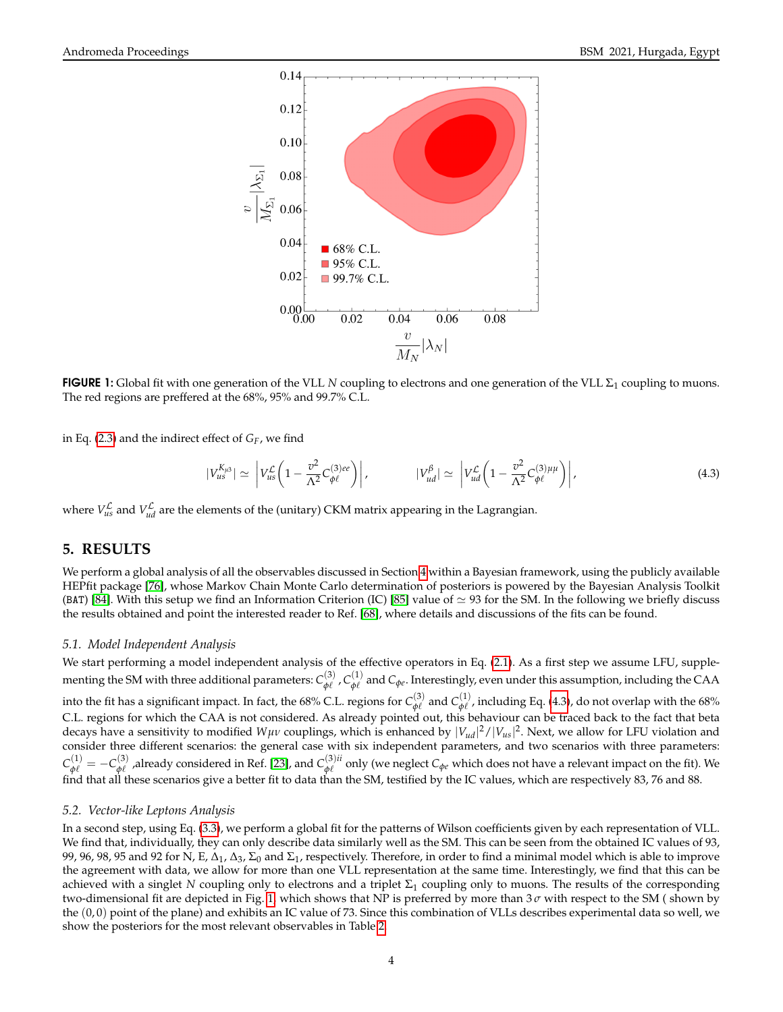

<span id="page-3-2"></span>**FIGURE 1:** Global fit with one generation of the VLL N coupling to electrons and one generation of the VLL  $\Sigma_1$  coupling to muons. The red regions are preffered at the 68%, 95% and 99.7% C.L.

in Eq. [\(2.3\)](#page-1-5) and the indirect effect of *GF*, we find

<span id="page-3-1"></span>
$$
|V_{us}^{K_{\mu3}}| \simeq \left| V_{us}^{\mathcal{L}} \left( 1 - \frac{v^2}{\Lambda^2} C_{\phi\ell}^{(3)ee} \right) \right|, \qquad |V_{ud}^{\beta}| \simeq \left| V_{ud}^{\mathcal{L}} \left( 1 - \frac{v^2}{\Lambda^2} C_{\phi\ell}^{(3) \mu \mu} \right) \right|, \tag{4.3}
$$

where  $V_{us}^{\mathcal{L}}$  and  $V_{ud}^{\mathcal{L}}$  are the elements of the (unitary) CKM matrix appearing in the Lagrangian.

# <span id="page-3-0"></span>**5. RESULTS**

We perform a global analysis of all the observables discussed in Section [4](#page-2-0) within a Bayesian framework, using the publicly available HEPfit package [\[76\]](#page-6-11), whose Markov Chain Monte Carlo determination of posteriors is powered by the Bayesian Analysis Toolkit (BAT) [\[84\]](#page-6-18). With this setup we find an Information Criterion (IC) [\[85\]](#page-6-19) value of  $\simeq$  93 for the SM. In the following we briefly discuss the results obtained and point the interested reader to Ref. [\[68\]](#page-6-4), where details and discussions of the fits can be found.

#### *5.1. Model Independent Analysis*

We start performing a model independent analysis of the effective operators in Eq. [\(2.1\)](#page-1-4). As a first step we assume LFU, supplementing the SM with three additional parameters:  $C^{(3)}_{ab}$  $\overset{(3)}{\phi\ell}$  ,  $C^{(1)}_{\phi\ell}$  $\varphi_\ell^{\left(1\right)}$  and  $C_{\varphi\ell}$ . Interestingly, even under this assumption, including the CAA into the fit has a significant impact. In fact, the 68% C.L. regions for  $C_{\phi\ell}^{(3)}$  $\phi_\ell^{(3)}$  and  $C_{\phi\ell}^{(1)}$  $\phi_{\ell}^{(1)}$ , including Eq. [\(4.3\)](#page-3-1), do not overlap with the 68% C.L. regions for which the CAA is not considered. As already pointed out, this behaviour can be traced back to the fact that beta decays have a sensitivity to modified *Wµν* couplings, which is enhanced by |*Vud*| <sup>2</sup>/|*Vus*| 2 . Next, we allow for LFU violation and consider three different scenarios: the general case with six independent parameters, and two scenarios with three parameters:  $C_{\phi\ell}^{(1)} = -C_{\phi\ell}^{(3)}$  $\phi_\ell^{(3)}$  ,already considered in Ref. [\[23\]](#page-5-3), and  $C_{\phi\ell}^{(3)ii}$  $\phi_{\ell}^{(3)\mu}$  only (we neglect  $C_{\phi_{\ell}}$  which does not have a relevant impact on the fit). We find that all these scenarios give a better fit to data than the SM, testified by the IC values, which are respectively 83, 76 and 88.

#### *5.2. Vector-like Leptons Analysis*

In a second step, using Eq. [\(3.3\)](#page-2-2), we perform a global fit for the patterns of Wilson coefficients given by each representation of VLL. We find that, individually, they can only describe data similarly well as the SM. This can be seen from the obtained IC values of 93, 99, 96, 98, 95 and 92 for N, E,  $\Delta_1$ ,  $\Delta_3$ ,  $\Sigma_0$  and  $\Sigma_1$ , respectively. Therefore, in order to find a minimal model which is able to improve the agreement with data, we allow for more than one VLL representation at the same time. Interestingly, we find that this can be achieved with a singlet *N* coupling only to electrons and a triplet  $\Sigma_1$  coupling only to muons. The results of the corresponding two-dimensional fit are depicted in Fig. [1,](#page-3-2) which shows that NP is preferred by more than 3 *σ* with respect to the SM ( shown by the (0, 0) point of the plane) and exhibits an IC value of 73. Since this combination of VLLs describes experimental data so well, we show the posteriors for the most relevant observables in Table [2.](#page-4-5)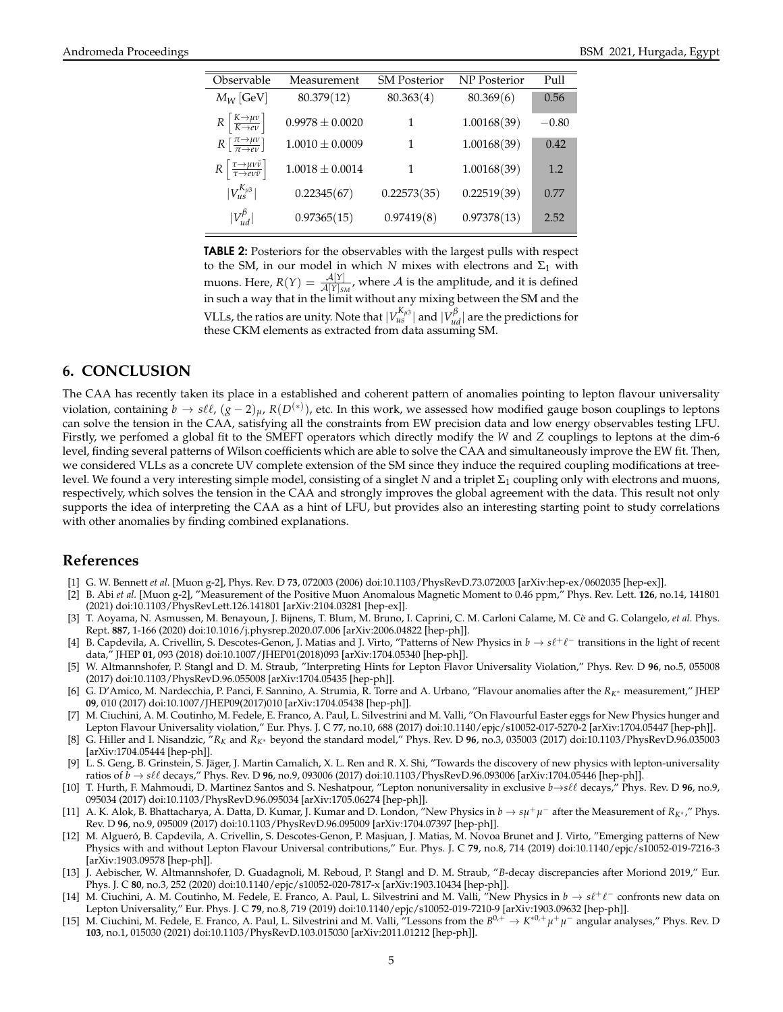| Observable                                                                            | Measurement         | <b>SM Posterior</b> | <b>NP</b> Posterior | Pull    |
|---------------------------------------------------------------------------------------|---------------------|---------------------|---------------------|---------|
| $M_W$ [GeV]                                                                           | 80.379(12)          | 80.363(4)           | 80.369(6)           | 0.56    |
| $R\left[\frac{K\rightarrow \mu\nu}{K\rightarrow e\nu}\right]$                         | $0.9978 \pm 0.0020$ | 1                   | 1.00168(39)         | $-0.80$ |
| $R\left[\frac{\pi\rightarrow\mu\nu}{\pi\rightarrow e\nu}\right]$                      | $1.0010 \pm 0.0009$ | 1                   | 1.00168(39)         | 0.42    |
| $R\left[\frac{\tau\rightarrow \mu\nu\bar{\nu}}{\tau\rightarrow e\nu\bar{\nu}}\right]$ | $1.0018 \pm 0.0014$ | 1                   | 1.00168(39)         | 1.2     |
| $ V_{us}^{K_{\mu3}} $                                                                 | 0.22345(67)         | 0.22573(35)         | 0.22519(39)         | 0.77    |
| $ V_{ud}^{\beta} $                                                                    | 0.97365(15)         | 0.97419(8)          | 0.97378(13)         | 2.52    |
|                                                                                       |                     |                     |                     |         |

<span id="page-4-5"></span>**TABLE 2:** Posteriors for the observables with the largest pulls with respect to the SM, in our model in which *N* mixes with electrons and  $\Sigma_1$  with muons. Here,  $R(Y) = \frac{\mathcal{A}[Y]}{\mathcal{A}[Y]_{SM}}$ , where  $\mathcal A$  is the amplitude, and it is defined in such a way that in the limit without any mixing between the SM and the VLLs, the ratios are unity. Note that  $|V_{us}^{K_{\mu 3}}|$  and  $|V_{ud}^{\beta}|$  are the predictions for these CKM elements as extracted from data assuming SM.

# <span id="page-4-4"></span>**6. CONCLUSION**

The CAA has recently taken its place in a established and coherent pattern of anomalies pointing to lepton flavour universality violation, containing  $b\to s\ell\ell$ ,  $(g-2)_\mu$ ,  $R(D^{(*)})$ , etc. In this work, we assessed how modified gauge boson couplings to leptons can solve the tension in the CAA, satisfying all the constraints from EW precision data and low energy observables testing LFU. Firstly, we perfomed a global fit to the SMEFT operators which directly modify the *W* and *Z* couplings to leptons at the dim-6 level, finding several patterns of Wilson coefficients which are able to solve the CAA and simultaneously improve the EW fit. Then, we considered VLLs as a concrete UV complete extension of the SM since they induce the required coupling modifications at treelevel. We found a very interesting simple model, consisting of a singlet *N* and a triplet  $\Sigma_1$  coupling only with electrons and muons, respectively, which solves the tension in the CAA and strongly improves the global agreement with the data. This result not only supports the idea of interpreting the CAA as a hint of LFU, but provides also an interesting starting point to study correlations with other anomalies by finding combined explanations.

# **References**

- <span id="page-4-0"></span>[1] G. W. Bennett *et al.* [Muon g-2], Phys. Rev. D **73**, 072003 (2006) doi:10.1103/PhysRevD.73.072003 [arXiv:hep-ex/0602035 [hep-ex]].
- [2] B. Abi *et al.* [Muon g-2], "Measurement of the Positive Muon Anomalous Magnetic Moment to 0.46 ppm," Phys. Rev. Lett. **126**, no.14, 141801 (2021) doi:10.1103/PhysRevLett.126.141801 [arXiv:2104.03281 [hep-ex]].
- <span id="page-4-1"></span>[3] T. Aoyama, N. Asmussen, M. Benayoun, J. Bijnens, T. Blum, M. Bruno, I. Caprini, C. M. Carloni Calame, M. Cè and G. Colangelo, et al. Phys. Rept. **887**, 1-166 (2020) doi:10.1016/j.physrep.2020.07.006 [arXiv:2006.04822 [hep-ph]].
- <span id="page-4-2"></span>[4] B. Capdevila, A. Crivellin, S. Descotes-Genon, J. Matias and J. Virto, "Patterns of New Physics in  $b \to s\ell^+\ell^-$  transitions in the light of recent data," JHEP **01**, 093 (2018) doi:10.1007/JHEP01(2018)093 [arXiv:1704.05340 [hep-ph]].
- [5] W. Altmannshofer, P. Stangl and D. M. Straub, "Interpreting Hints for Lepton Flavor Universality Violation," Phys. Rev. D **96**, no.5, 055008 (2017) doi:10.1103/PhysRevD.96.055008 [arXiv:1704.05435 [hep-ph]].
- [6] G. D'Amico, M. Nardecchia, P. Panci, F. Sannino, A. Strumia, R. Torre and A. Urbano, "Flavour anomalies after the *RK*<sup>∗</sup> measurement," JHEP **09**, 010 (2017) doi:10.1007/JHEP09(2017)010 [arXiv:1704.05438 [hep-ph]].
- [7] M. Ciuchini, A. M. Coutinho, M. Fedele, E. Franco, A. Paul, L. Silvestrini and M. Valli, "On Flavourful Easter eggs for New Physics hunger and Lepton Flavour Universality violation," Eur. Phys. J. C **77**, no.10, 688 (2017) doi:10.1140/epjc/s10052-017-5270-2 [arXiv:1704.05447 [hep-ph]].
- [8] G. Hiller and I. Nisandzic, "*R<sup>K</sup>* and *RK*<sup>∗</sup> beyond the standard model," Phys. Rev. D **96**, no.3, 035003 (2017) doi:10.1103/PhysRevD.96.035003 [arXiv:1704.05444 [hep-ph]].
- [9] L. S. Geng, B. Grinstein, S. Jäger, J. Martin Camalich, X. L. Ren and R. X. Shi, "Towards the discovery of new physics with lepton-universality ratios of *b* → *s*`` decays," Phys. Rev. D **96**, no.9, 093006 (2017) doi:10.1103/PhysRevD.96.093006 [arXiv:1704.05446 [hep-ph]].
- [10] T. Hurth, F. Mahmoudi, D. Martinez Santos and S. Neshatpour, "Lepton nonuniversality in exclusive *b*→*s*`` decays," Phys. Rev. D **96**, no.9, 095034 (2017) doi:10.1103/PhysRevD.96.095034 [arXiv:1705.06274 [hep-ph]].
- [11] A. K. Alok, B. Bhattacharya, A. Datta, D. Kumar, J. Kumar and D. London, "New Physics in *b* → *sµ* +*µ* <sup>−</sup> after the Measurement of *RK*<sup>∗</sup> ," Phys. Rev. D **96**, no.9, 095009 (2017) doi:10.1103/PhysRevD.96.095009 [arXiv:1704.07397 [hep-ph]].
- [12] M. Algueró, B. Capdevila, A. Crivellin, S. Descotes-Genon, P. Masjuan, J. Matias, M. Novoa Brunet and J. Virto, "Emerging patterns of New Physics with and without Lepton Flavour Universal contributions," Eur. Phys. J. C **79**, no.8, 714 (2019) doi:10.1140/epjc/s10052-019-7216-3 [arXiv:1903.09578 [hep-ph]].
- [13] J. Aebischer, W. Altmannshofer, D. Guadagnoli, M. Reboud, P. Stangl and D. M. Straub, "*B*-decay discrepancies after Moriond 2019," Eur. Phys. J. C **80**, no.3, 252 (2020) doi:10.1140/epjc/s10052-020-7817-x [arXiv:1903.10434 [hep-ph]].
- [14] M. Ciuchini, A. M. Coutinho, M. Fedele, E. Franco, A. Paul, L. Silvestrini and M. Valli, "New Physics in  $b \to s\ell^+\ell^-$  confronts new data on Lepton Universality," Eur. Phys. J. C **79**, no.8, 719 (2019) doi:10.1140/epjc/s10052-019-7210-9 [arXiv:1903.09632 [hep-ph]].
- <span id="page-4-3"></span>[15] M. Ciuchini, M. Fedele, E. Franco, A. Paul, L. Silvestrini and M. Valli, "Lessons from the *B* 0,<sup>+</sup> → *K* <sup>∗</sup>0,+*µ* +*µ* <sup>−</sup> angular analyses," Phys. Rev. D **103**, no.1, 015030 (2021) doi:10.1103/PhysRevD.103.015030 [arXiv:2011.01212 [hep-ph]].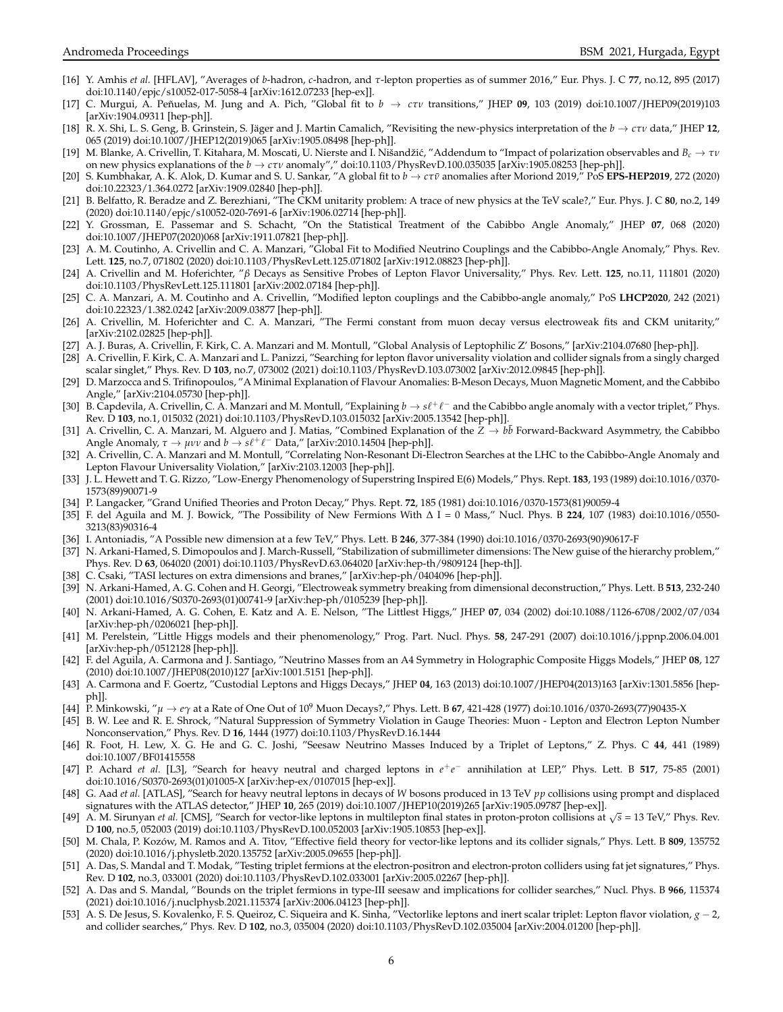- <span id="page-5-0"></span>[16] Y. Amhis *et al.* [HFLAV], "Averages of *b*-hadron, *c*-hadron, and *τ*-lepton properties as of summer 2016," Eur. Phys. J. C **77**, no.12, 895 (2017) doi:10.1140/epjc/s10052-017-5058-4 [arXiv:1612.07233 [hep-ex]].
- [17] C. Murgui, A. Penuelas, M. Jung and A. Pich, "Global fit to ˜ *b* → *cτν* transitions," JHEP **09**, 103 (2019) doi:10.1007/JHEP09(2019)103 [arXiv:1904.09311 [hep-ph]].
- [18] R. X. Shi, L. S. Geng, B. Grinstein, S. Jäger and J. Martin Camalich, "Revisiting the new-physics interpretation of the  $b \rightarrow c\tau v$  data," JHEP 12, 065 (2019) doi:10.1007/JHEP12(2019)065 [arXiv:1905.08498 [hep-ph]].
- [19] M. Blanke, A. Crivellin, T. Kitahara, M. Moscati, U. Nierste and I. Nišandžić, "Addendum to "Impact of polarization observables and *B<sub>c</sub>* → *τν* on new physics explanations of the *b* → *cτν* anomaly"," doi:10.1103/PhysRevD.100.035035 [arXiv:1905.08253 [hep-ph]].
- <span id="page-5-1"></span>[20] S. Kumbhakar, A. K. Alok, D. Kumar and S. U. Sankar, "A global fit to *b* → *cτν*¯ anomalies after Moriond 2019," PoS **EPS-HEP2019**, 272 (2020) doi:10.22323/1.364.0272 [arXiv:1909.02840 [hep-ph]].
- <span id="page-5-2"></span>[21] B. Belfatto, R. Beradze and Z. Berezhiani, "The CKM unitarity problem: A trace of new physics at the TeV scale?," Eur. Phys. J. C **80**, no.2, 149 (2020) doi:10.1140/epjc/s10052-020-7691-6 [arXiv:1906.02714 [hep-ph]].
- [22] Y. Grossman, E. Passemar and S. Schacht, "On the Statistical Treatment of the Cabibbo Angle Anomaly," JHEP **07**, 068 (2020) doi:10.1007/JHEP07(2020)068 [arXiv:1911.07821 [hep-ph]].
- <span id="page-5-3"></span>[23] A. M. Coutinho, A. Crivellin and C. A. Manzari, "Global Fit to Modified Neutrino Couplings and the Cabibbo-Angle Anomaly," Phys. Rev. Lett. **125**, no.7, 071802 (2020) doi:10.1103/PhysRevLett.125.071802 [arXiv:1912.08823 [hep-ph]].
- [24] A. Crivellin and M. Hoferichter, "*β* Decays as Sensitive Probes of Lepton Flavor Universality," Phys. Rev. Lett. **125**, no.11, 111801 (2020) doi:10.1103/PhysRevLett.125.111801 [arXiv:2002.07184 [hep-ph]].
- <span id="page-5-9"></span>[25] C. A. Manzari, A. M. Coutinho and A. Crivellin, "Modified lepton couplings and the Cabibbo-angle anomaly," PoS **LHCP2020**, 242 (2021) doi:10.22323/1.382.0242 [arXiv:2009.03877 [hep-ph]].
- [26] A. Crivellin, M. Hoferichter and C. A. Manzari, "The Fermi constant from muon decay versus electroweak fits and CKM unitarity," [arXiv:2102.02825 [hep-ph]].
- <span id="page-5-4"></span>[27] A. J. Buras, A. Crivellin, F. Kirk, C. A. Manzari and M. Montull, "Global Analysis of Leptophilic Z' Bosons," [arXiv:2104.07680 [hep-ph]].
- [28] A. Crivellin, F. Kirk, C. A. Manzari and L. Panizzi, "Searching for lepton flavor universality violation and collider signals from a singly charged scalar singlet," Phys. Rev. D **103**, no.7, 073002 (2021) doi:10.1103/PhysRevD.103.073002 [arXiv:2012.09845 [hep-ph]].
- <span id="page-5-5"></span>[29] D. Marzocca and S. Trifinopoulos, "A Minimal Explanation of Flavour Anomalies: B-Meson Decays, Muon Magnetic Moment, and the Cabbibo Angle," [arXiv:2104.05730 [hep-ph]].
- <span id="page-5-7"></span>[30] B. Čapdevila, A. Crivellin, C. Â. Manzari and M. Montull, "Explaining  $b\to s\ell^+\ell^-$  and the Cabibbo angle anomaly with a vector triplet," Phys. Rev. D **103**, no.1, 015032 (2021) doi:10.1103/PhysRevD.103.015032 [arXiv:2005.13542 [hep-ph]].
- <span id="page-5-6"></span>[31] A. Crivellin, C. A. Manzari, M. Alguero and J. Matias, "Combined Explanation of the *Z* → *b* ¯*b* Forward-Backward Asymmetry, the Cabibbo Angle Anomaly,  $\tau \to \mu \nu \nu$  and  $b \to s \ell^+ \ell^-$  Data," [arXiv:2010.14504 [hep-ph]].
- <span id="page-5-8"></span>[32] A. Crivellin, C. A. Manzari and M. Montull, "Correlating Non-Resonant Di-Electron Searches at the LHC to the Cabibbo-Angle Anomaly and Lepton Flavour Universality Violation," [arXiv:2103.12003 [hep-ph]].
- <span id="page-5-10"></span>[33] J. L. Hewett and T. G. Rizzo, "Low-Energy Phenomenology of Superstring Inspired E(6) Models," Phys. Rept. **183**, 193 (1989) doi:10.1016/0370- 1573(89)90071-9
- [34] P. Langacker, "Grand Unified Theories and Proton Decay," Phys. Rept. **72**, 185 (1981) doi:10.1016/0370-1573(81)90059-4
- <span id="page-5-11"></span>[35] F. del Aguila and M. J. Bowick, "The Possibility of New Fermions With ∆ I = 0 Mass," Nucl. Phys. B **224**, 107 (1983) doi:10.1016/0550- 3213(83)90316-4
- <span id="page-5-12"></span>[36] I. Antoniadis, "A Possible new dimension at a few TeV," Phys. Lett. B **246**, 377-384 (1990) doi:10.1016/0370-2693(90)90617-F
- [37] N. Arkani-Hamed, S. Dimopoulos and J. March-Russell, "Stabilization of submillimeter dimensions: The New guise of the hierarchy problem," Phys. Rev. D **63**, 064020 (2001) doi:10.1103/PhysRevD.63.064020 [arXiv:hep-th/9809124 [hep-th]].
- [38] C. Csaki, "TASI lectures on extra dimensions and branes," [arXiv:hep-ph/0404096 [hep-ph]].
- [39] N. Arkani-Hamed, A. G. Cohen and H. Georgi, "Electroweak symmetry breaking from dimensional deconstruction," Phys. Lett. B **513**, 232-240 (2001) doi:10.1016/S0370-2693(01)00741-9 [arXiv:hep-ph/0105239 [hep-ph]].
- [40] N. Arkani-Hamed, A. G. Cohen, E. Katz and A. E. Nelson, "The Littlest Higgs," JHEP **07**, 034 (2002) doi:10.1088/1126-6708/2002/07/034 [arXiv:hep-ph/0206021 [hep-ph]].
- [41] M. Perelstein, "Little Higgs models and their phenomenology," Prog. Part. Nucl. Phys. **58**, 247-291 (2007) doi:10.1016/j.ppnp.2006.04.001 [arXiv:hep-ph/0512128 [hep-ph]].
- [42] F. del Aguila, A. Carmona and J. Santiago, "Neutrino Masses from an A4 Symmetry in Holographic Composite Higgs Models," JHEP **08**, 127 (2010) doi:10.1007/JHEP08(2010)127 [arXiv:1001.5151 [hep-ph]].
- <span id="page-5-13"></span>[43] A. Carmona and F. Goertz, "Custodial Leptons and Higgs Decays," JHEP **04**, 163 (2013) doi:10.1007/JHEP04(2013)163 [arXiv:1301.5856 [hepph]].
- <span id="page-5-14"></span>[44] P. Minkowski, "*µ* → *eγ* at a Rate of One Out of 10<sup>9</sup> Muon Decays?," Phys. Lett. B **67**, 421-428 (1977) doi:10.1016/0370-2693(77)90435-X
- <span id="page-5-15"></span>[45] B. W. Lee and R. E. Shrock, "Natural Suppression of Symmetry Violation in Gauge Theories: Muon - Lepton and Electron Lepton Number Nonconservation," Phys. Rev. D **16**, 1444 (1977) doi:10.1103/PhysRevD.16.1444
- <span id="page-5-16"></span>[46] R. Foot, H. Lew, X. G. He and G. C. Joshi, "Seesaw Neutrino Masses Induced by a Triplet of Leptons," Z. Phys. C **44**, 441 (1989) doi:10.1007/BF01415558
- <span id="page-5-17"></span>[47] P. Achard *et al.* [L3], "Search for heavy neutral and charged leptons in *e* +*e* <sup>−</sup> annihilation at LEP," Phys. Lett. B **517**, 75-85 (2001) doi:10.1016/S0370-2693(01)01005-X [arXiv:hep-ex/0107015 [hep-ex]].
- <span id="page-5-18"></span>[48] G. Aad *et al.* [ATLAS], "Search for heavy neutral leptons in decays of *W* bosons produced in 13 TeV *pp* collisions using prompt and displaced signatures with the ATLAS detector," JHEP **10**, 265 (2019) doi:10.1007/JHEP10(2019)265 [arXiv:1905.09787 [hep-ex]].
- <span id="page-5-19"></span>[49] A. M. Sirunyan *et al.* [CMS], "Search for vector-like leptons in multilepton final states in proton-proton collisions at <sup>√</sup> *s* = 13 TeV," Phys. Rev. D **100**, no.5, 052003 (2019) doi:10.1103/PhysRevD.100.052003 [arXiv:1905.10853 [hep-ex]].
- <span id="page-5-20"></span>[50] M. Chala, P. Kozów, M. Ramos and A. Titov, "Effective field theory for vector-like leptons and its collider signals," Phys. Lett. B 809, 135752 (2020) doi:10.1016/j.physletb.2020.135752 [arXiv:2005.09655 [hep-ph]].
- [51] A. Das, S. Mandal and T. Modak, "Testing triplet fermions at the electron-positron and electron-proton colliders using fat jet signatures," Phys. Rev. D **102**, no.3, 033001 (2020) doi:10.1103/PhysRevD.102.033001 [arXiv:2005.02267 [hep-ph]].
- [52] A. Das and S. Mandal, "Bounds on the triplet fermions in type-III seesaw and implications for collider searches," Nucl. Phys. B **966**, 115374 (2021) doi:10.1016/j.nuclphysb.2021.115374 [arXiv:2006.04123 [hep-ph]].
- <span id="page-5-21"></span>[53] A. S. De Jesus, S. Kovalenko, F. S. Queiroz, C. Siqueira and K. Sinha, "Vectorlike leptons and inert scalar triplet: Lepton flavor violation, *g* − 2, and collider searches," Phys. Rev. D **102**, no.3, 035004 (2020) doi:10.1103/PhysRevD.102.035004 [arXiv:2004.01200 [hep-ph]].